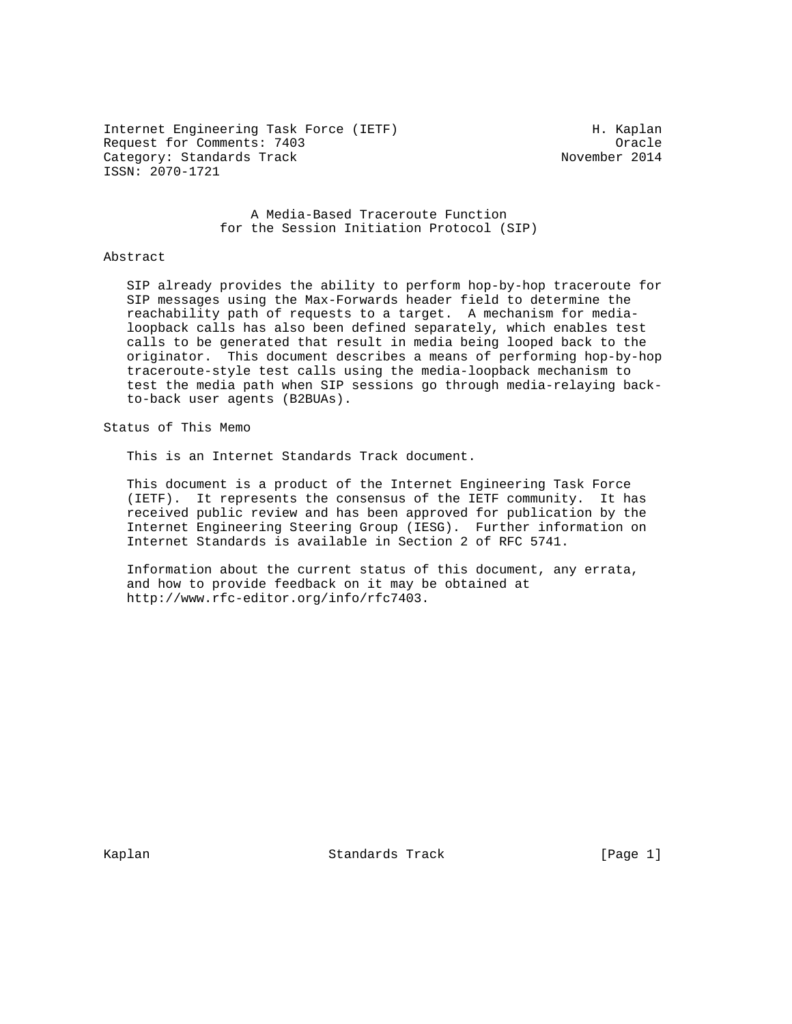Internet Engineering Task Force (IETF) The Manuscript H. Kaplan Request for Comments: 7403<br>Category: Standards Track Category: Standards Track Category: Standards Track ISSN: 2070-1721

 A Media-Based Traceroute Function for the Session Initiation Protocol (SIP)

## Abstract

 SIP already provides the ability to perform hop-by-hop traceroute for SIP messages using the Max-Forwards header field to determine the reachability path of requests to a target. A mechanism for media loopback calls has also been defined separately, which enables test calls to be generated that result in media being looped back to the originator. This document describes a means of performing hop-by-hop traceroute-style test calls using the media-loopback mechanism to test the media path when SIP sessions go through media-relaying back to-back user agents (B2BUAs).

Status of This Memo

This is an Internet Standards Track document.

 This document is a product of the Internet Engineering Task Force (IETF). It represents the consensus of the IETF community. It has received public review and has been approved for publication by the Internet Engineering Steering Group (IESG). Further information on Internet Standards is available in Section 2 of RFC 5741.

 Information about the current status of this document, any errata, and how to provide feedback on it may be obtained at http://www.rfc-editor.org/info/rfc7403.

Kaplan Standards Track [Page 1]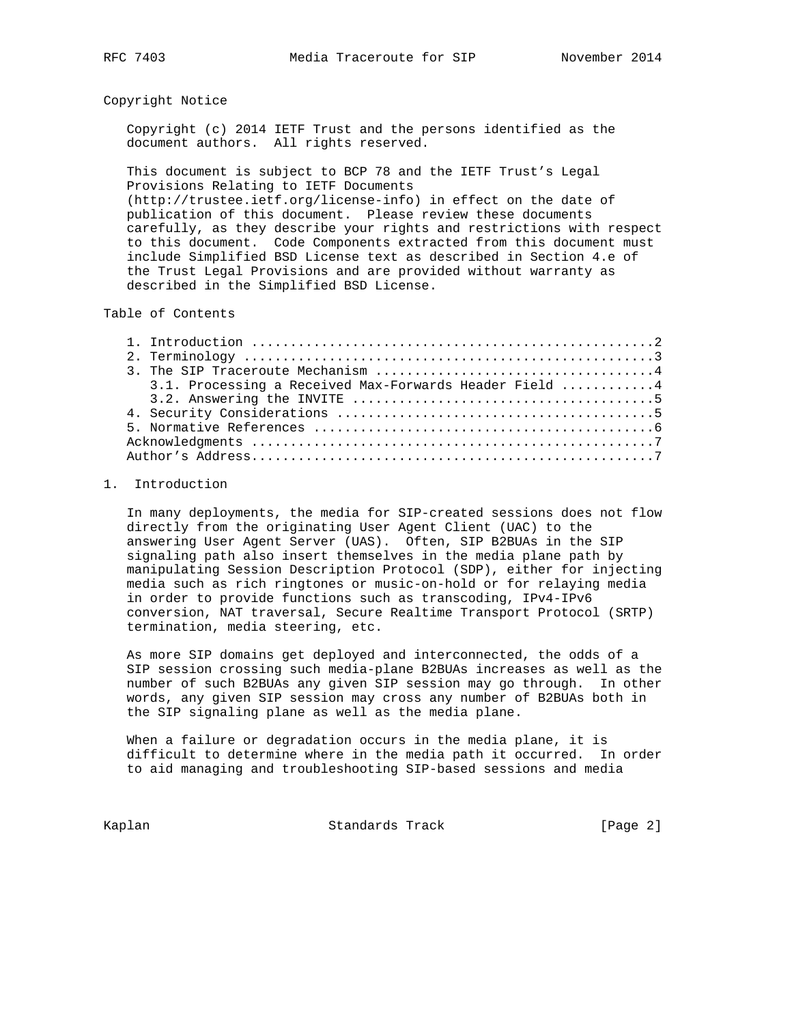## Copyright Notice

 Copyright (c) 2014 IETF Trust and the persons identified as the document authors. All rights reserved.

 This document is subject to BCP 78 and the IETF Trust's Legal Provisions Relating to IETF Documents (http://trustee.ietf.org/license-info) in effect on the date of publication of this document. Please review these documents carefully, as they describe your rights and restrictions with respect to this document. Code Components extracted from this document must include Simplified BSD License text as described in Section 4.e of

the Trust Legal Provisions and are provided without warranty as

described in the Simplified BSD License.

Table of Contents

| 3.1. Processing a Received Max-Forwards Header Field 4 |
|--------------------------------------------------------|
|                                                        |
|                                                        |
|                                                        |
|                                                        |
|                                                        |

## 1. Introduction

 In many deployments, the media for SIP-created sessions does not flow directly from the originating User Agent Client (UAC) to the answering User Agent Server (UAS). Often, SIP B2BUAs in the SIP signaling path also insert themselves in the media plane path by manipulating Session Description Protocol (SDP), either for injecting media such as rich ringtones or music-on-hold or for relaying media in order to provide functions such as transcoding, IPv4-IPv6 conversion, NAT traversal, Secure Realtime Transport Protocol (SRTP) termination, media steering, etc.

 As more SIP domains get deployed and interconnected, the odds of a SIP session crossing such media-plane B2BUAs increases as well as the number of such B2BUAs any given SIP session may go through. In other words, any given SIP session may cross any number of B2BUAs both in the SIP signaling plane as well as the media plane.

 When a failure or degradation occurs in the media plane, it is difficult to determine where in the media path it occurred. In order to aid managing and troubleshooting SIP-based sessions and media

Kaplan Standards Track [Page 2]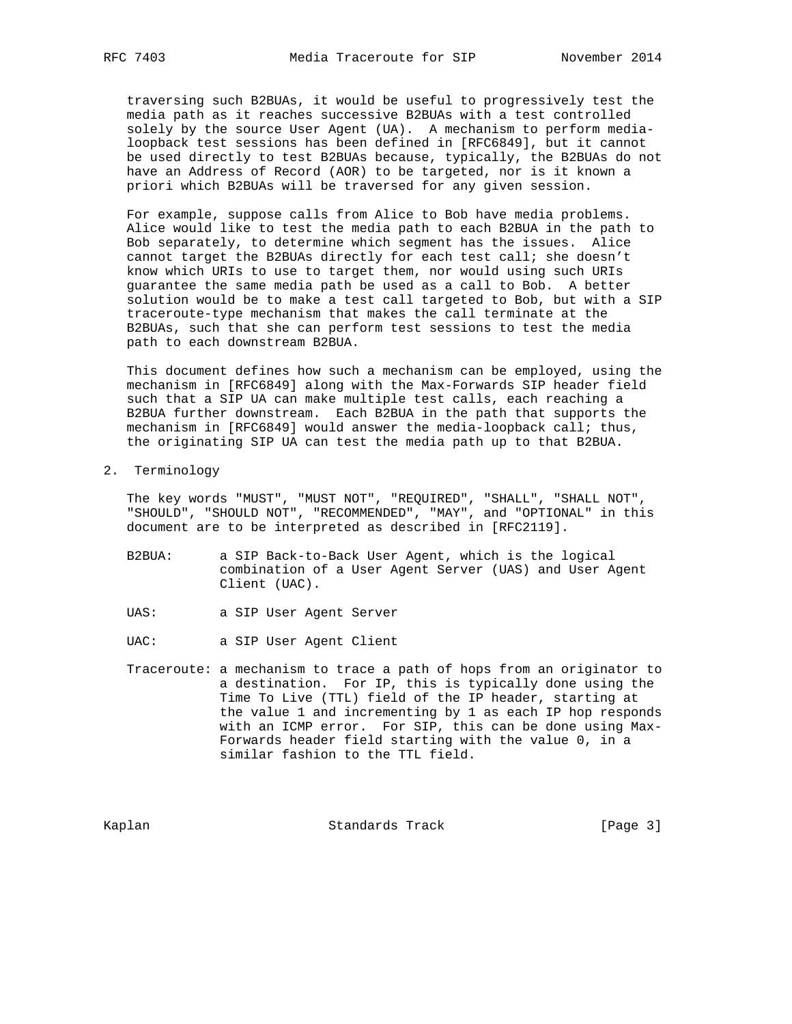traversing such B2BUAs, it would be useful to progressively test the media path as it reaches successive B2BUAs with a test controlled solely by the source User Agent (UA). A mechanism to perform media loopback test sessions has been defined in [RFC6849], but it cannot be used directly to test B2BUAs because, typically, the B2BUAs do not have an Address of Record (AOR) to be targeted, nor is it known a priori which B2BUAs will be traversed for any given session.

 For example, suppose calls from Alice to Bob have media problems. Alice would like to test the media path to each B2BUA in the path to Bob separately, to determine which segment has the issues. Alice cannot target the B2BUAs directly for each test call; she doesn't know which URIs to use to target them, nor would using such URIs guarantee the same media path be used as a call to Bob. A better solution would be to make a test call targeted to Bob, but with a SIP traceroute-type mechanism that makes the call terminate at the B2BUAs, such that she can perform test sessions to test the media path to each downstream B2BUA.

 This document defines how such a mechanism can be employed, using the mechanism in [RFC6849] along with the Max-Forwards SIP header field such that a SIP UA can make multiple test calls, each reaching a B2BUA further downstream. Each B2BUA in the path that supports the mechanism in [RFC6849] would answer the media-loopback call; thus, the originating SIP UA can test the media path up to that B2BUA.

2. Terminology

 The key words "MUST", "MUST NOT", "REQUIRED", "SHALL", "SHALL NOT", "SHOULD", "SHOULD NOT", "RECOMMENDED", "MAY", and "OPTIONAL" in this document are to be interpreted as described in [RFC2119].

- B2BUA: a SIP Back-to-Back User Agent, which is the logical combination of a User Agent Server (UAS) and User Agent Client (UAC).
- UAS: a SIP User Agent Server
- UAC: a SIP User Agent Client
- Traceroute: a mechanism to trace a path of hops from an originator to a destination. For IP, this is typically done using the Time To Live (TTL) field of the IP header, starting at the value 1 and incrementing by 1 as each IP hop responds with an ICMP error. For SIP, this can be done using Max- Forwards header field starting with the value 0, in a similar fashion to the TTL field.

Kaplan Standards Track [Page 3]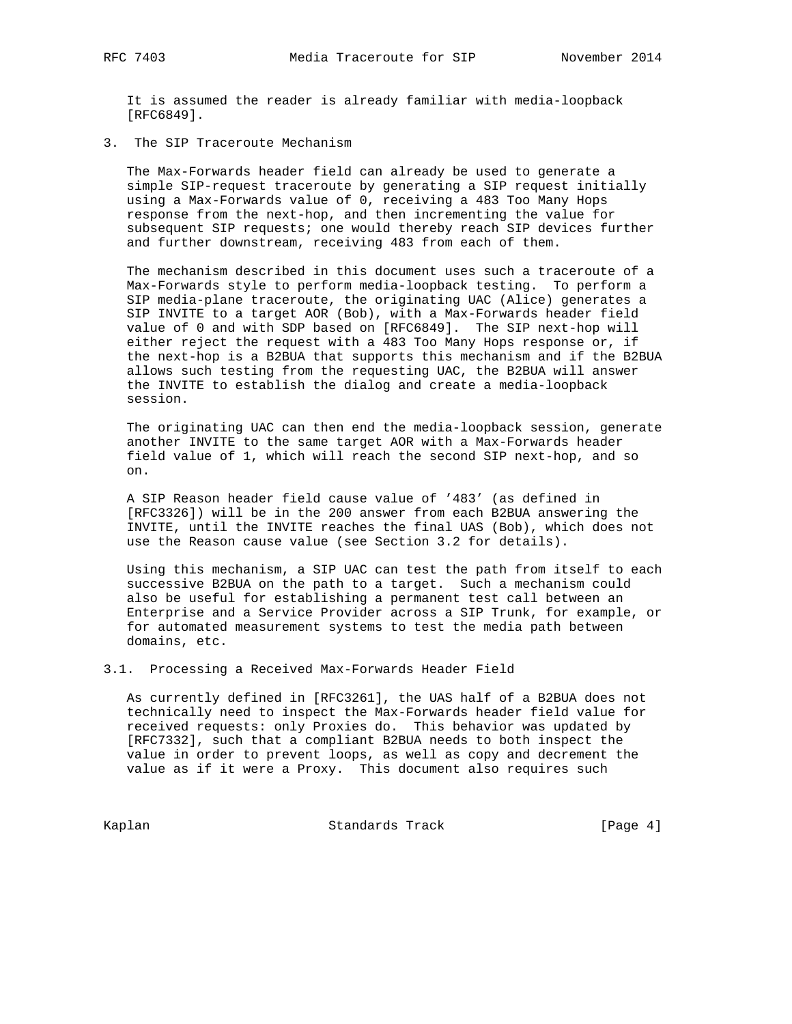It is assumed the reader is already familiar with media-loopback [RFC6849].

3. The SIP Traceroute Mechanism

 The Max-Forwards header field can already be used to generate a simple SIP-request traceroute by generating a SIP request initially using a Max-Forwards value of 0, receiving a 483 Too Many Hops response from the next-hop, and then incrementing the value for subsequent SIP requests; one would thereby reach SIP devices further and further downstream, receiving 483 from each of them.

 The mechanism described in this document uses such a traceroute of a Max-Forwards style to perform media-loopback testing. To perform a SIP media-plane traceroute, the originating UAC (Alice) generates a SIP INVITE to a target AOR (Bob), with a Max-Forwards header field value of 0 and with SDP based on [RFC6849]. The SIP next-hop will either reject the request with a 483 Too Many Hops response or, if the next-hop is a B2BUA that supports this mechanism and if the B2BUA allows such testing from the requesting UAC, the B2BUA will answer the INVITE to establish the dialog and create a media-loopback session.

 The originating UAC can then end the media-loopback session, generate another INVITE to the same target AOR with a Max-Forwards header field value of 1, which will reach the second SIP next-hop, and so on.

 A SIP Reason header field cause value of '483' (as defined in [RFC3326]) will be in the 200 answer from each B2BUA answering the INVITE, until the INVITE reaches the final UAS (Bob), which does not use the Reason cause value (see Section 3.2 for details).

 Using this mechanism, a SIP UAC can test the path from itself to each successive B2BUA on the path to a target. Such a mechanism could also be useful for establishing a permanent test call between an Enterprise and a Service Provider across a SIP Trunk, for example, or for automated measurement systems to test the media path between domains, etc.

3.1. Processing a Received Max-Forwards Header Field

 As currently defined in [RFC3261], the UAS half of a B2BUA does not technically need to inspect the Max-Forwards header field value for received requests: only Proxies do. This behavior was updated by [RFC7332], such that a compliant B2BUA needs to both inspect the value in order to prevent loops, as well as copy and decrement the value as if it were a Proxy. This document also requires such

Kaplan Standards Track [Page 4]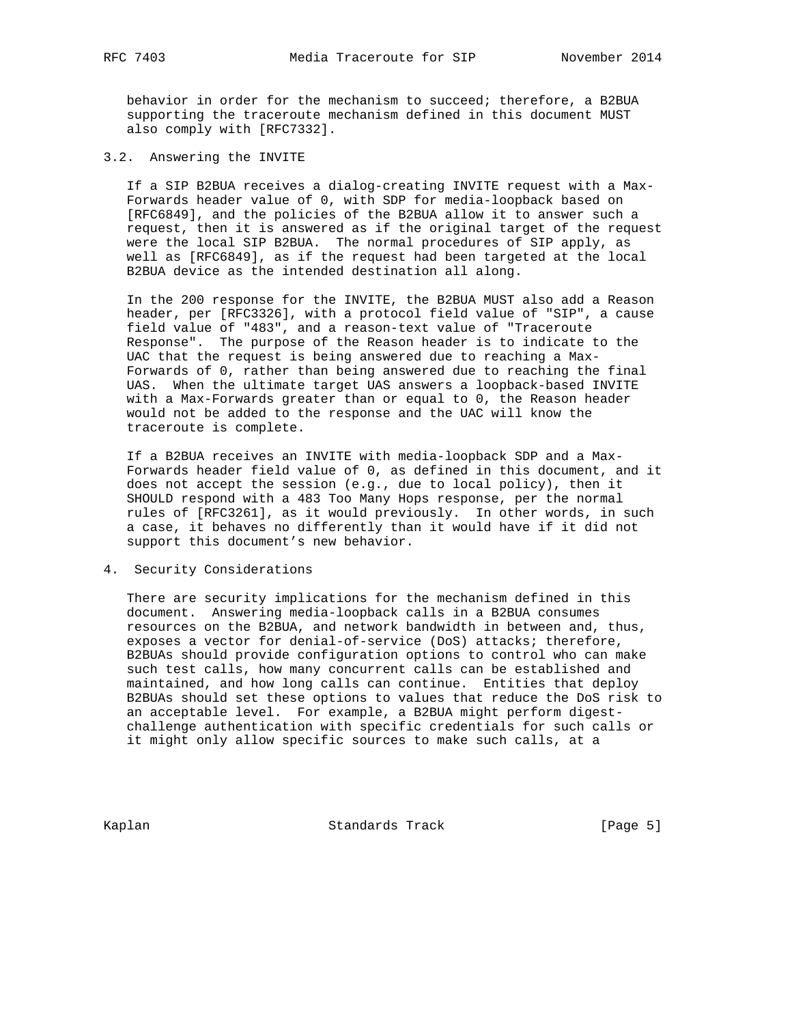behavior in order for the mechanism to succeed; therefore, a B2BUA supporting the traceroute mechanism defined in this document MUST also comply with [RFC7332].

3.2. Answering the INVITE

 If a SIP B2BUA receives a dialog-creating INVITE request with a Max- Forwards header value of 0, with SDP for media-loopback based on [RFC6849], and the policies of the B2BUA allow it to answer such a request, then it is answered as if the original target of the request were the local SIP B2BUA. The normal procedures of SIP apply, as well as [RFC6849], as if the request had been targeted at the local B2BUA device as the intended destination all along.

 In the 200 response for the INVITE, the B2BUA MUST also add a Reason header, per [RFC3326], with a protocol field value of "SIP", a cause field value of "483", and a reason-text value of "Traceroute Response". The purpose of the Reason header is to indicate to the UAC that the request is being answered due to reaching a Max- Forwards of 0, rather than being answered due to reaching the final UAS. When the ultimate target UAS answers a loopback-based INVITE with a Max-Forwards greater than or equal to 0, the Reason header would not be added to the response and the UAC will know the traceroute is complete.

 If a B2BUA receives an INVITE with media-loopback SDP and a Max- Forwards header field value of 0, as defined in this document, and it does not accept the session (e.g., due to local policy), then it SHOULD respond with a 483 Too Many Hops response, per the normal rules of [RFC3261], as it would previously. In other words, in such a case, it behaves no differently than it would have if it did not support this document's new behavior.

4. Security Considerations

 There are security implications for the mechanism defined in this document. Answering media-loopback calls in a B2BUA consumes resources on the B2BUA, and network bandwidth in between and, thus, exposes a vector for denial-of-service (DoS) attacks; therefore, B2BUAs should provide configuration options to control who can make such test calls, how many concurrent calls can be established and maintained, and how long calls can continue. Entities that deploy B2BUAs should set these options to values that reduce the DoS risk to an acceptable level. For example, a B2BUA might perform digest challenge authentication with specific credentials for such calls or it might only allow specific sources to make such calls, at a

Kaplan Standards Track [Page 5]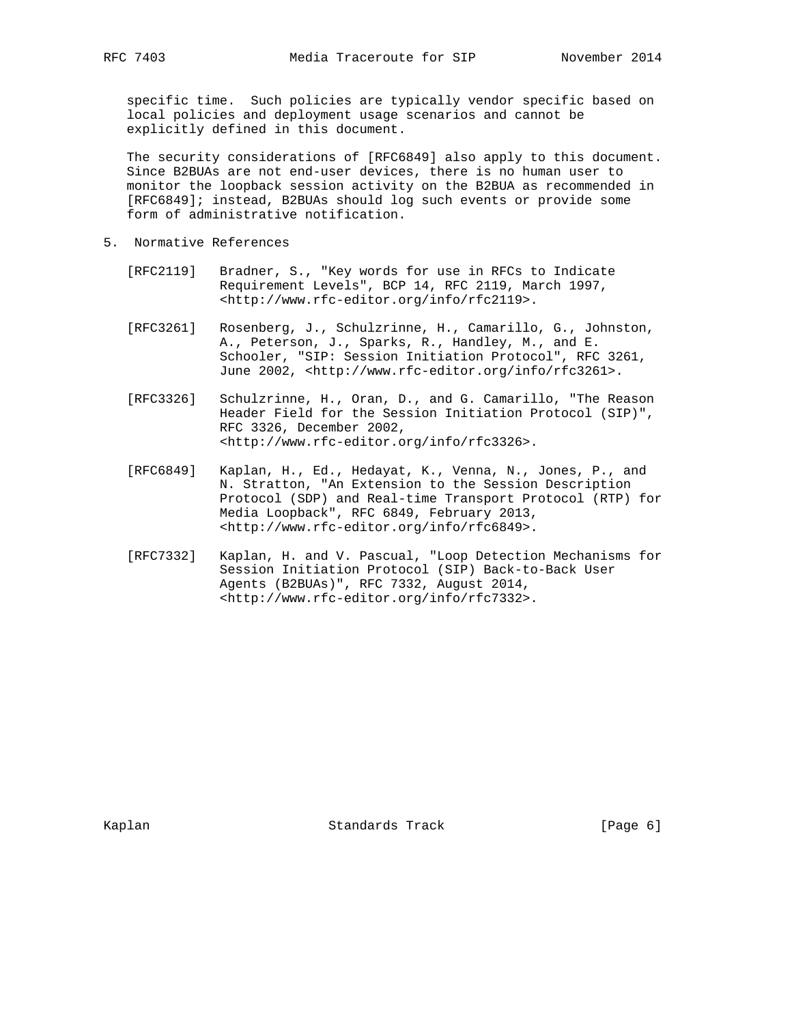specific time. Such policies are typically vendor specific based on local policies and deployment usage scenarios and cannot be explicitly defined in this document.

 The security considerations of [RFC6849] also apply to this document. Since B2BUAs are not end-user devices, there is no human user to monitor the loopback session activity on the B2BUA as recommended in [RFC6849]; instead, B2BUAs should log such events or provide some form of administrative notification.

- 5. Normative References
	- [RFC2119] Bradner, S., "Key words for use in RFCs to Indicate Requirement Levels", BCP 14, RFC 2119, March 1997, <http://www.rfc-editor.org/info/rfc2119>.
	- [RFC3261] Rosenberg, J., Schulzrinne, H., Camarillo, G., Johnston, A., Peterson, J., Sparks, R., Handley, M., and E. Schooler, "SIP: Session Initiation Protocol", RFC 3261, June 2002, <http://www.rfc-editor.org/info/rfc3261>.
	- [RFC3326] Schulzrinne, H., Oran, D., and G. Camarillo, "The Reason Header Field for the Session Initiation Protocol (SIP)", RFC 3326, December 2002, <http://www.rfc-editor.org/info/rfc3326>.
	- [RFC6849] Kaplan, H., Ed., Hedayat, K., Venna, N., Jones, P., and N. Stratton, "An Extension to the Session Description Protocol (SDP) and Real-time Transport Protocol (RTP) for Media Loopback", RFC 6849, February 2013, <http://www.rfc-editor.org/info/rfc6849>.
	- [RFC7332] Kaplan, H. and V. Pascual, "Loop Detection Mechanisms for Session Initiation Protocol (SIP) Back-to-Back User Agents (B2BUAs)", RFC 7332, August 2014, <http://www.rfc-editor.org/info/rfc7332>.

Kaplan Standards Track [Page 6]